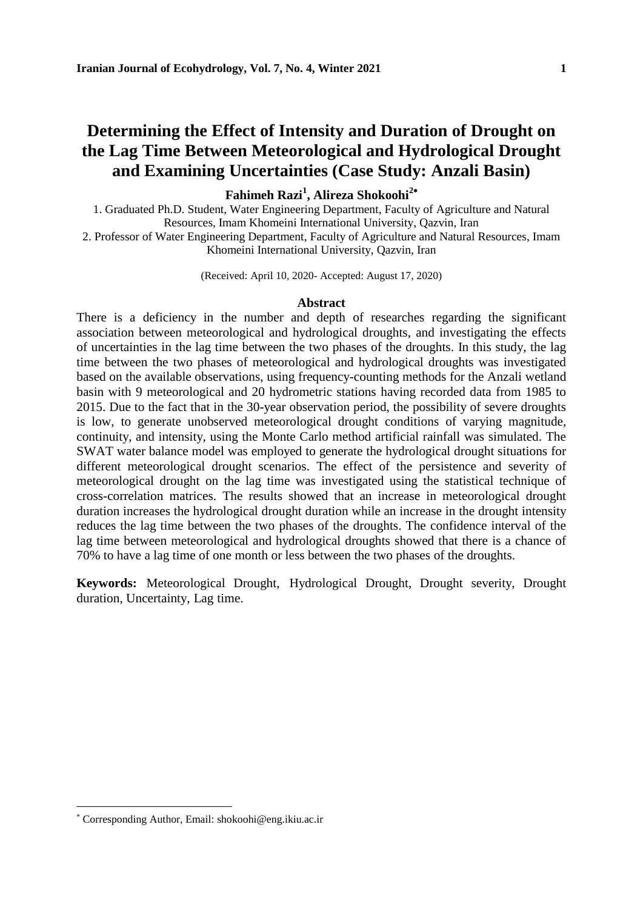# **Determining the Effect of Intensity and Duration of Drought on the Lag Time Between Meteorological and Hydrological Drought and Examining Uncertainties (Case Study: Anzali Basin)**

### **Fahimeh Razi<sup>1</sup> , Alireza Shokoohi<sup>2</sup>**

1. Graduated Ph.D. Student, Water Engineering Department, Faculty of Agriculture and Natural Resources, Imam Khomeini International University, Qazvin, Iran 2. Professor of Water Engineering Department, Faculty of Agriculture and Natural Resources, Imam

Khomeini International University, Qazvin, Iran

(Received: April 10, 2020- Accepted: August 17, 2020)

#### **Abstract**

There is a deficiency in the number and depth of researches regarding the significant association between meteorological and hydrological droughts, and investigating the effects of uncertainties in the lag time between the two phases of the droughts. In this study, the lag time between the two phases of meteorological and hydrological droughts was investigated based on the available observations, using frequency-counting methods for the Anzali wetland basin with 9 meteorological and 20 hydrometric stations having recorded data from 1985 to 2015. Due to the fact that in the 30-year observation period, the possibility of severe droughts is low, to generate unobserved meteorological drought conditions of varying magnitude, continuity, and intensity, using the Monte Carlo method artificial rainfall was simulated. The SWAT water balance model was employed to generate the hydrological drought situations for different meteorological drought scenarios. The effect of the persistence and severity of meteorological drought on the lag time was investigated using the statistical technique of cross-correlation matrices. The results showed that an increase in meteorological drought duration increases the hydrological drought duration while an increase in the drought intensity reduces the lag time between the two phases of the droughts. The confidence interval of the lag time between meteorological and hydrological droughts showed that there is a chance of 70% to have a lag time of one month or less between the two phases of the droughts.

**Keywords:** Meteorological Drought, Hydrological Drought, Drought severity, Drought duration, Uncertainty, Lag time.

Corresponding Author, Email: shokoohi@eng.ikiu.ac.ir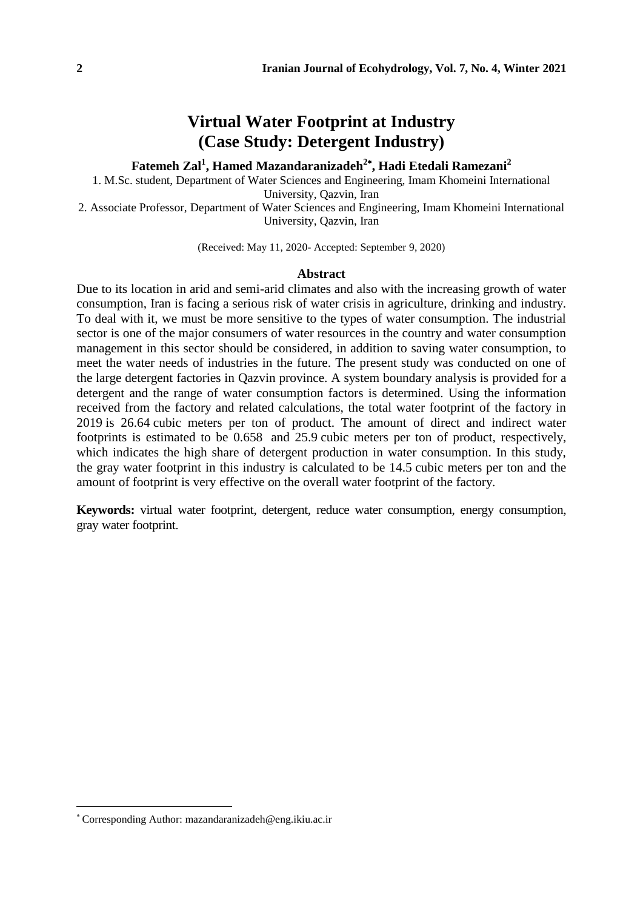# **Virtual Water Footprint at Industry (Case Study: Detergent Industry)**

### **Fatemeh Zal<sup>1</sup> , Hamed Mazandaranizadeh<sup>2</sup> , Hadi Etedali Ramezani<sup>2</sup>**

1. M.Sc. student, Department of Water Sciences and Engineering, Imam Khomeini International University, Qazvin, Iran

2. Associate Professor, Department of Water Sciences and Engineering, Imam Khomeini International University, Qazvin, Iran

(Received: May 11, 2020- Accepted: September 9, 2020)

#### **Abstract**

Due to its location in arid and semi-arid climates and also with the increasing growth of water consumption, Iran is facing a serious risk of water crisis in agriculture, drinking and industry. To deal with it, we must be more sensitive to the types of water consumption. The industrial sector is one of the major consumers of water resources in the country and water consumption management in this sector should be considered, in addition to saving water consumption, to meet the water needs of industries in the future. The present study was conducted on one of the large detergent factories in Qazvin province. A system boundary analysis is provided for a detergent and the range of water consumption factors is determined. Using the information received from the factory and related calculations, the total water footprint of the factory in 2019 is 26.64 cubic meters per ton of product. The amount of direct and indirect water footprints is estimated to be 0.658 and 25.9 cubic meters per ton of product, respectively, which indicates the high share of detergent production in water consumption. In this study, the gray water footprint in this industry is calculated to be 14.5 cubic meters per ton and the amount of footprint is very effective on the overall water footprint of the factory.

**Keywords:** virtual water footprint, detergent, reduce water consumption, energy consumption, gray water footprint.

Corresponding Author: mazandaranizadeh@eng.ikiu.ac.ir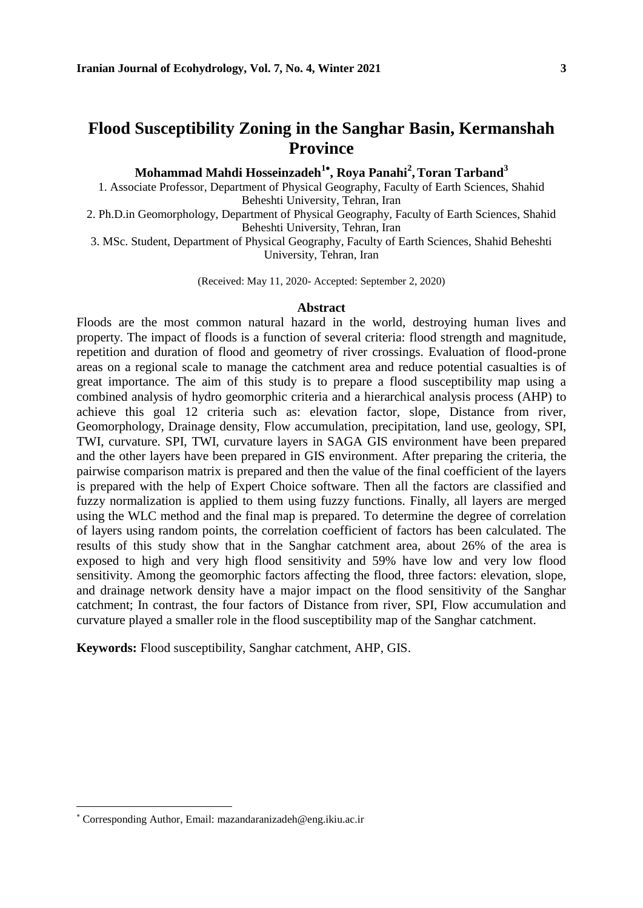# **Flood Susceptibility Zoning in the Sanghar Basin, Kermanshah Province**

**Mohammad Mahdi Hosseinzadeh<sup>1</sup> , Roya Panahi<sup>2</sup> ,Toran Tarband<sup>3</sup>**

1. Associate Professor, Department of Physical Geography, Faculty of Earth Sciences, Shahid Beheshti University, Tehran, Iran

2. Ph.D.in Geomorphology, Department of Physical Geography, Faculty of Earth Sciences, Shahid Beheshti University, Tehran, Iran

3. MSc. Student, Department of Physical Geography, Faculty of Earth Sciences, Shahid Beheshti University, Tehran, Iran

(Received: May 11, 2020- Accepted: September 2, 2020)

#### **Abstract**

Floods are the most common natural hazard in the world, destroying human lives and property. The impact of floods is a function of several criteria: flood strength and magnitude, repetition and duration of flood and geometry of river crossings. Evaluation of flood-prone areas on a regional scale to manage the catchment area and reduce potential casualties is of great importance. The aim of this study is to prepare a flood susceptibility map using a combined analysis of hydro geomorphic criteria and a hierarchical analysis process (AHP) to achieve this goal 12 criteria such as: elevation factor, slope, Distance from river, Geomorphology, Drainage density, Flow accumulation, precipitation, land use, geology, SPI, TWI, curvature. SPI, TWI, curvature layers in SAGA GIS environment have been prepared and the other layers have been prepared in GIS environment. After preparing the criteria, the pairwise comparison matrix is prepared and then the value of the final coefficient of the layers is prepared with the help of Expert Choice software. Then all the factors are classified and fuzzy normalization is applied to them using fuzzy functions. Finally, all layers are merged using the WLC method and the final map is prepared. To determine the degree of correlation of layers using random points, the correlation coefficient of factors has been calculated. The results of this study show that in the Sanghar catchment area, about 26% of the area is exposed to high and very high flood sensitivity and 59% have low and very low flood sensitivity. Among the geomorphic factors affecting the flood, three factors: elevation, slope, and drainage network density have a major impact on the flood sensitivity of the Sanghar catchment; In contrast, the four factors of Distance from river, SPI, Flow accumulation and curvature played a smaller role in the flood susceptibility map of the Sanghar catchment.

**Keywords:** Flood susceptibility, Sanghar catchment, AHP, GIS.

Corresponding Author, Email: mazandaranizadeh@eng.ikiu.ac.ir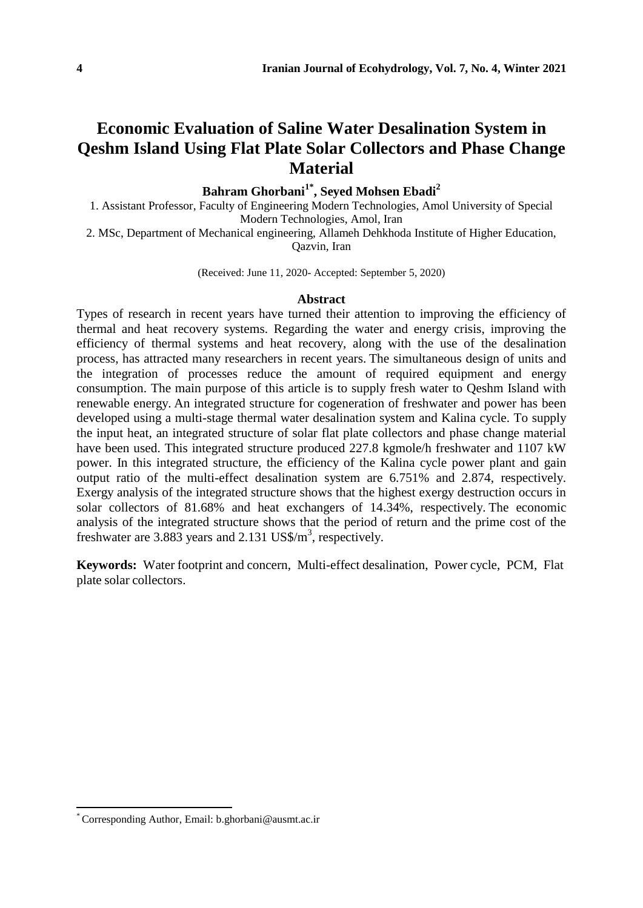# **Economic Evaluation of Saline Water Desalination System in Qeshm Island Using Flat Plate Solar Collectors and Phase Change Material**

### **Bahram Ghorbani1\* , Seyed Mohsen Ebadi<sup>2</sup>**

1. Assistant Professor, Faculty of Engineering Modern Technologies, Amol University of Special Modern Technologies, Amol, Iran

2. MSc, Department of Mechanical engineering, Allameh Dehkhoda Institute of Higher Education, Qazvin, Iran

(Received: June 11, 2020- Accepted: September 5, 2020)

#### **Abstract**

Types of research in recent years have turned their attention to improving the efficiency of thermal and heat recovery systems. Regarding the water and energy crisis, improving the efficiency of thermal systems and heat recovery, along with the use of the desalination process, has attracted many researchers in recent years. The simultaneous design of units and the integration of processes reduce the amount of required equipment and energy consumption. The main purpose of this article is to supply fresh water to Qeshm Island with renewable energy. An integrated structure for cogeneration of freshwater and power has been developed using a multi-stage thermal water desalination system and Kalina cycle. To supply the input heat, an integrated structure of solar flat plate collectors and phase change material have been used. This integrated structure produced 227.8 kgmole/h freshwater and 1107 kW power. In this integrated structure, the efficiency of the Kalina cycle power plant and gain output ratio of the multi-effect desalination system are 6.751% and 2.874, respectively. Exergy analysis of the integrated structure shows that the highest exergy destruction occurs in solar collectors of 81.68% and heat exchangers of 14.34%, respectively. The economic analysis of the integrated structure shows that the period of return and the prime cost of the freshwater are  $3.883$  years and  $2.131$  US\$/m<sup>3</sup>, respectively.

**Keywords:** Water footprint and concern, Multi-effect desalination, Power cycle, PCM, Flat plate solar collectors.

<sup>\*</sup> Corresponding Author, Email: b.ghorbani@ausmt.ac.ir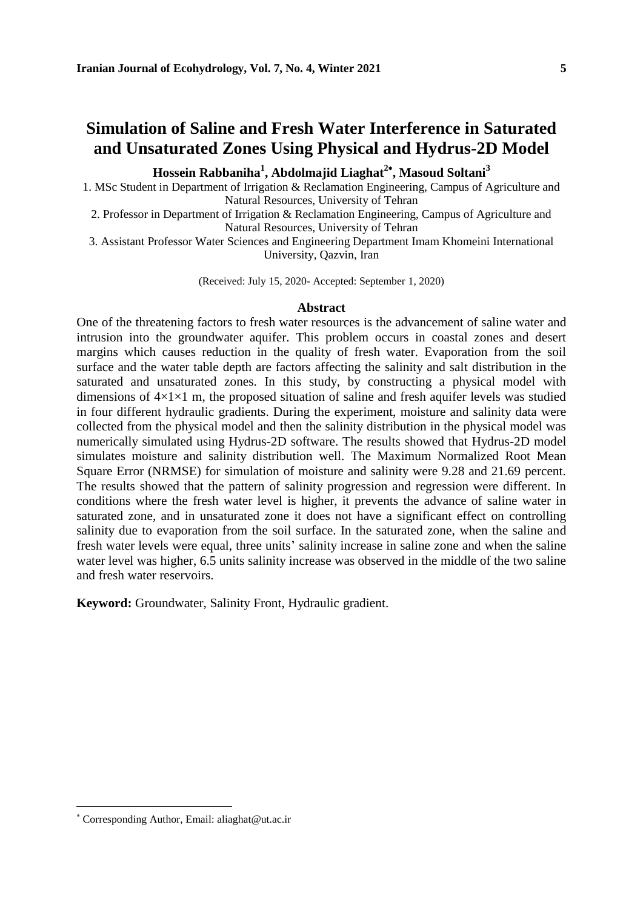### **Simulation of Saline and Fresh Water Interference in Saturated and Unsaturated Zones Using Physical and Hydrus-2D Model**

**Hossein Rabbaniha<sup>1</sup> , Abdolmajid Liaghat<sup>2</sup> , Masoud Soltani<sup>3</sup>**

1. MSc Student in Department of Irrigation & Reclamation Engineering, Campus of Agriculture and Natural Resources, University of Tehran

2. Professor in Department of Irrigation & Reclamation Engineering, Campus of Agriculture and Natural Resources, University of Tehran

3. Assistant Professor Water Sciences and Engineering Department Imam Khomeini International University, Qazvin, Iran

(Received: July 15, 2020- Accepted: September 1, 2020)

#### **Abstract**

One of the threatening factors to fresh water resources is the advancement of saline water and intrusion into the groundwater aquifer. This problem occurs in coastal zones and desert margins which causes reduction in the quality of fresh water. Evaporation from the soil surface and the water table depth are factors affecting the salinity and salt distribution in the saturated and unsaturated zones. In this study, by constructing a physical model with dimensions of  $4\times1\times1$  m, the proposed situation of saline and fresh aquifer levels was studied in four different hydraulic gradients. During the experiment, moisture and salinity data were collected from the physical model and then the salinity distribution in the physical model was numerically simulated using Hydrus-2D software. The results showed that Hydrus-2D model simulates moisture and salinity distribution well. The Maximum Normalized Root Mean Square Error (NRMSE) for simulation of moisture and salinity were 9.28 and 21.69 percent. The results showed that the pattern of salinity progression and regression were different. In conditions where the fresh water level is higher, it prevents the advance of saline water in saturated zone, and in unsaturated zone it does not have a significant effect on controlling salinity due to evaporation from the soil surface. In the saturated zone, when the saline and fresh water levels were equal, three units' salinity increase in saline zone and when the saline water level was higher, 6.5 units salinity increase was observed in the middle of the two saline and fresh water reservoirs.

**Keyword:** Groundwater, Salinity Front, Hydraulic gradient.

Corresponding Author, Email: aliaghat@ut.ac.ir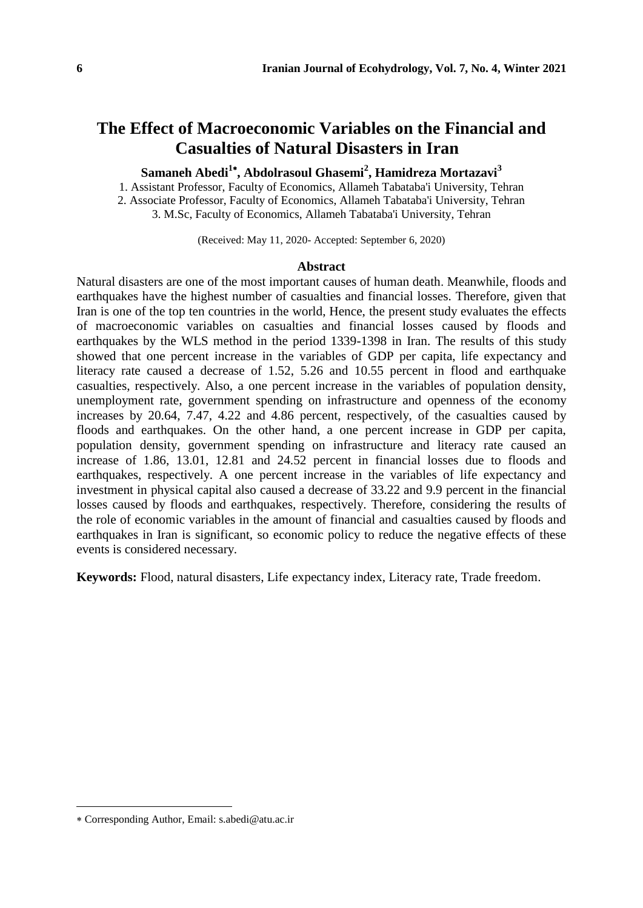# **The Effect of Macroeconomic Variables on the Financial and Casualties of Natural Disasters in Iran**

**Samaneh Abedi<sup>1</sup> , Abdolrasoul Ghasemi<sup>2</sup> , Hamidreza Mortazavi<sup>3</sup>**

1. Assistant Professor, Faculty of Economics, Allameh Tabataba'i University, Tehran

2. Associate Professor, Faculty of Economics, Allameh Tabataba'i University, Tehran

3. M.Sc, Faculty of Economics, Allameh Tabataba'i University, Tehran

(Received: May 11, 2020- Accepted: September 6, 2020)

#### **Abstract**

Natural disasters are one of the most important causes of human death. Meanwhile, floods and earthquakes have the highest number of casualties and financial losses. Therefore, given that Iran is one of the top ten countries in the world, Hence, the present study evaluates the effects of macroeconomic variables on casualties and financial losses caused by floods and earthquakes by the WLS method in the period 1339-1398 in Iran. The results of this study showed that one percent increase in the variables of GDP per capita, life expectancy and literacy rate caused a decrease of 1.52, 5.26 and 10.55 percent in flood and earthquake casualties, respectively. Also, a one percent increase in the variables of population density, unemployment rate, government spending on infrastructure and openness of the economy increases by 20.64, 7.47, 4.22 and 4.86 percent, respectively, of the casualties caused by floods and earthquakes. On the other hand, a one percent increase in GDP per capita, population density, government spending on infrastructure and literacy rate caused an increase of 1.86, 13.01, 12.81 and 24.52 percent in financial losses due to floods and earthquakes, respectively. A one percent increase in the variables of life expectancy and investment in physical capital also caused a decrease of 33.22 and 9.9 percent in the financial losses caused by floods and earthquakes, respectively. Therefore, considering the results of the role of economic variables in the amount of financial and casualties caused by floods and earthquakes in Iran is significant, so economic policy to reduce the negative effects of these events is considered necessary.

**Keywords:** Flood, natural disasters, Life expectancy index, Literacy rate, Trade freedom.

Corresponding Author, Email: s.abedi@atu.ac.ir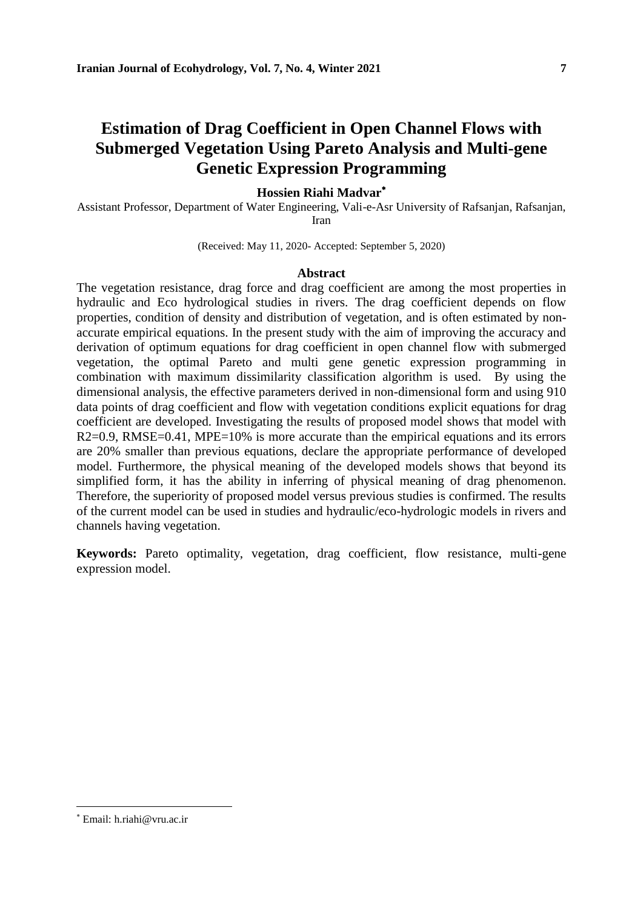# **Estimation of Drag Coefficient in Open Channel Flows with Submerged Vegetation Using Pareto Analysis and Multi-gene Genetic Expression Programming**

### **Hossien Riahi Madvar**

Assistant Professor, Department of Water Engineering, Vali-e-Asr University of Rafsanjan, Rafsanjan, Iran

(Received: May 11, 2020- Accepted: September 5, 2020)

#### **Abstract**

The vegetation resistance, drag force and drag coefficient are among the most properties in hydraulic and Eco hydrological studies in rivers. The drag coefficient depends on flow properties, condition of density and distribution of vegetation, and is often estimated by nonaccurate empirical equations. In the present study with the aim of improving the accuracy and derivation of optimum equations for drag coefficient in open channel flow with submerged vegetation, the optimal Pareto and multi gene genetic expression programming in combination with maximum dissimilarity classification algorithm is used. By using the dimensional analysis, the effective parameters derived in non-dimensional form and using 910 data points of drag coefficient and flow with vegetation conditions explicit equations for drag coefficient are developed. Investigating the results of proposed model shows that model with R2=0.9, RMSE=0.41, MPE=10% is more accurate than the empirical equations and its errors are 20% smaller than previous equations, declare the appropriate performance of developed model. Furthermore, the physical meaning of the developed models shows that beyond its simplified form, it has the ability in inferring of physical meaning of drag phenomenon. Therefore, the superiority of proposed model versus previous studies is confirmed. The results of the current model can be used in studies and hydraulic/eco-hydrologic models in rivers and channels having vegetation.

**Keywords:** Pareto optimality, vegetation, drag coefficient, flow resistance, multi-gene expression model.

Email: h.riahi@vru.ac.ir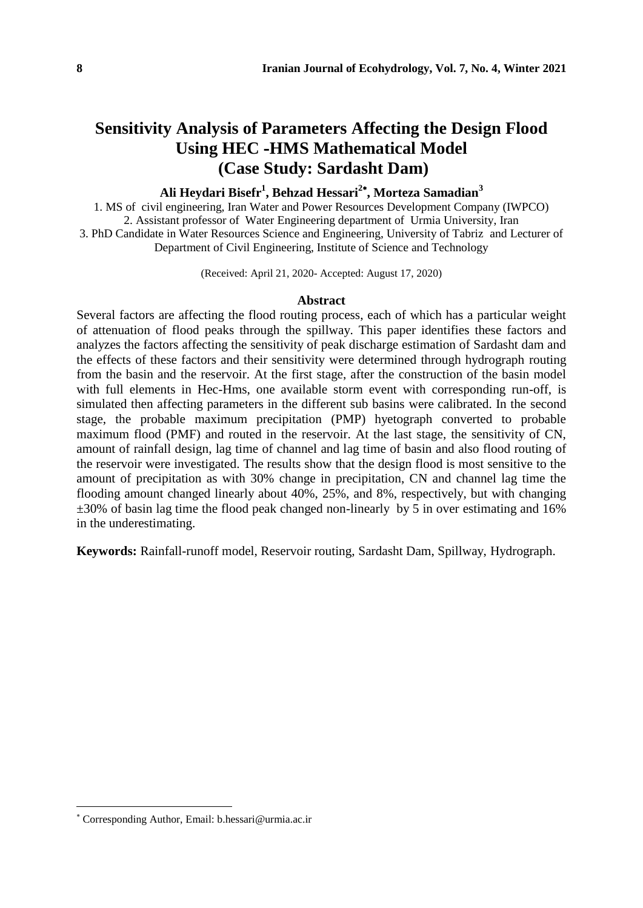# **Sensitivity Analysis of Parameters Affecting the Design Flood Using HEC -HMS Mathematical Model (Case Study: Sardasht Dam)**

### **Ali Heydari Bisefr<sup>1</sup> , Behzad Hessari<sup>2</sup> , Morteza Samadian<sup>3</sup>**

1. MS of civil engineering, Iran Water and Power Resources Development Company (IWPCO) 2. Assistant professor of Water Engineering department of Urmia University, Iran 3. PhD Candidate in Water Resources Science and Engineering, University of Tabriz and Lecturer of Department of Civil Engineering, Institute of Science and Technology

(Received: April 21, 2020- Accepted: August 17, 2020)

#### **Abstract**

Several factors are affecting the flood routing process, each of which has a particular weight of attenuation of flood peaks through the spillway. This paper identifies these factors and analyzes the factors affecting the sensitivity of peak discharge estimation of Sardasht dam and the effects of these factors and their sensitivity were determined through hydrograph routing from the basin and the reservoir. At the first stage, after the construction of the basin model with full elements in Hec-Hms, one available storm event with corresponding run-off, is simulated then affecting parameters in the different sub basins were calibrated. In the second stage, the probable maximum precipitation (PMP) hyetograph converted to probable maximum flood (PMF) and routed in the reservoir. At the last stage, the sensitivity of CN, amount of rainfall design, lag time of channel and lag time of basin and also flood routing of the reservoir were investigated. The results show that the design flood is most sensitive to the amount of precipitation as with 30% change in precipitation, CN and channel lag time the flooding amount changed linearly about 40%, 25%, and 8%, respectively, but with changing  $\pm 30\%$  of basin lag time the flood peak changed non-linearly by 5 in over estimating and 16% in the underestimating.

**Keywords:** Rainfall-runoff model, Reservoir routing, Sardasht Dam, Spillway, Hydrograph.

Corresponding Author, Email: b.hessari@urmia.ac.ir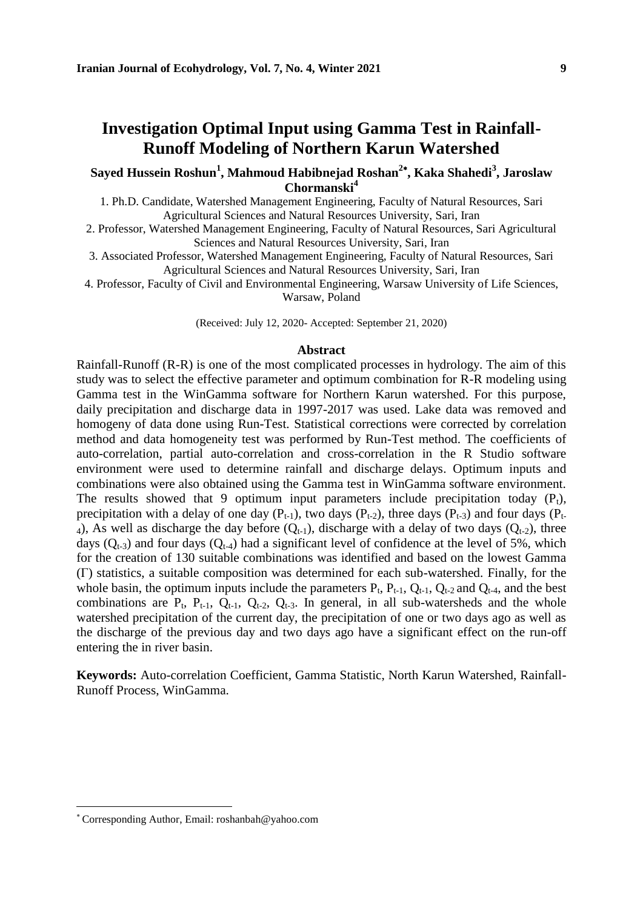### **Investigation Optimal Input using Gamma Test in Rainfall-Runoff Modeling of Northern Karun Watershed**

**Sayed Hussein Roshun<sup>1</sup> , Mahmoud Habibnejad Roshan<sup>2</sup> , Kaka Shahedi<sup>3</sup> , Jaroslaw Chormanski<sup>4</sup>**

1. Ph.D. Candidate, Watershed Management Engineering, Faculty of Natural Resources, Sari Agricultural Sciences and Natural Resources University, Sari, Iran

2. Professor, Watershed Management Engineering, Faculty of Natural Resources, Sari Agricultural Sciences and Natural Resources University, Sari, Iran

3. Associated Professor, Watershed Management Engineering, Faculty of Natural Resources, Sari Agricultural Sciences and Natural Resources University, Sari, Iran

4. Professor, Faculty of Civil and Environmental Engineering, Warsaw University of Life Sciences, Warsaw, Poland

(Received: July 12, 2020- Accepted: September 21, 2020)

#### **Abstract**

Rainfall-Runoff (R-R) is one of the most complicated processes in hydrology. The aim of this study was to select the effective parameter and optimum combination for R-R modeling using Gamma test in the WinGamma software for Northern Karun watershed. For this purpose, daily precipitation and discharge data in 1997-2017 was used. Lake data was removed and homogeny of data done using Run-Test. Statistical corrections were corrected by correlation method and data homogeneity test was performed by Run-Test method. The coefficients of auto-correlation, partial auto-correlation and cross-correlation in the R Studio software environment were used to determine rainfall and discharge delays. Optimum inputs and combinations were also obtained using the Gamma test in WinGamma software environment. The results showed that 9 optimum input parameters include precipitation today  $(P_t)$ , precipitation with a delay of one day  $(P_{t-1})$ , two days  $(P_{t-2})$ , three days  $(P_{t-3})$  and four days  $(P_{t-3})$ 4), As well as discharge the day before  $(Q_{t-1})$ , discharge with a delay of two days  $(Q_{t-2})$ , three days  $(Q_{t-3})$  and four days  $(Q_{t-4})$  had a significant level of confidence at the level of 5%, which for the creation of 130 suitable combinations was identified and based on the lowest Gamma (Γ) statistics, a suitable composition was determined for each sub-watershed. Finally, for the whole basin, the optimum inputs include the parameters  $P_t$ ,  $P_{t-1}$ ,  $Q_{t-1}$ ,  $Q_{t-2}$  and  $Q_{t-4}$ , and the best combinations are  $P_t$ ,  $P_{t-1}$ ,  $Q_{t-1}$ ,  $Q_{t-2}$ ,  $Q_{t-3}$ . In general, in all sub-watersheds and the whole watershed precipitation of the current day, the precipitation of one or two days ago as well as the discharge of the previous day and two days ago have a significant effect on the run-off entering the in river basin.

**Keywords:** Auto-correlation Coefficient, Gamma Statistic, North Karun Watershed, Rainfall-Runoff Process, WinGamma.

Corresponding Author, Email: roshanbah@yahoo.com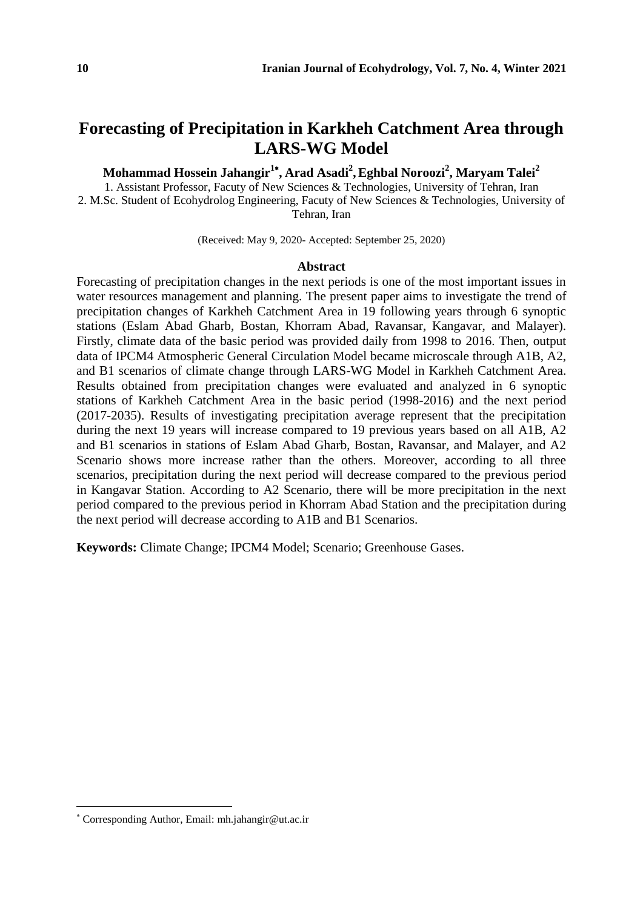# **Forecasting of Precipitation in Karkheh Catchment Area through LARS-WG Model**

**Mohammad Hossein Jahangir<sup>1</sup> , Arad Asadi<sup>2</sup> ,Eghbal Noroozi<sup>2</sup> , Maryam Talei<sup>2</sup>**

1. Assistant Professor, Facuty of New Sciences & Technologies, University of Tehran, Iran 2. M.Sc. Student of Ecohydrolog Engineering, Facuty of New Sciences & Technologies, University of Tehran, Iran

(Received: May 9, 2020- Accepted: September 25, 2020)

#### **Abstract**

Forecasting of precipitation changes in the next periods is one of the most important issues in water resources management and planning. The present paper aims to investigate the trend of precipitation changes of Karkheh Catchment Area in 19 following years through 6 synoptic stations (Eslam Abad Gharb, Bostan, Khorram Abad, Ravansar, Kangavar, and Malayer). Firstly, climate data of the basic period was provided daily from 1998 to 2016. Then, output data of IPCM4 Atmospheric General Circulation Model became microscale through A1B, A2, and B1 scenarios of climate change through LARS-WG Model in Karkheh Catchment Area. Results obtained from precipitation changes were evaluated and analyzed in 6 synoptic stations of Karkheh Catchment Area in the basic period (1998-2016) and the next period (2017-2035). Results of investigating precipitation average represent that the precipitation during the next 19 years will increase compared to 19 previous years based on all A1B, A2 and B1 scenarios in stations of Eslam Abad Gharb, Bostan, Ravansar, and Malayer, and A2 Scenario shows more increase rather than the others. Moreover, according to all three scenarios, precipitation during the next period will decrease compared to the previous period in Kangavar Station. According to A2 Scenario, there will be more precipitation in the next period compared to the previous period in Khorram Abad Station and the precipitation during the next period will decrease according to A1B and B1 Scenarios.

**Keywords:** Climate Change; IPCM4 Model; Scenario; Greenhouse Gases.

Corresponding Author, Email: mh.jahangir@ut.ac.ir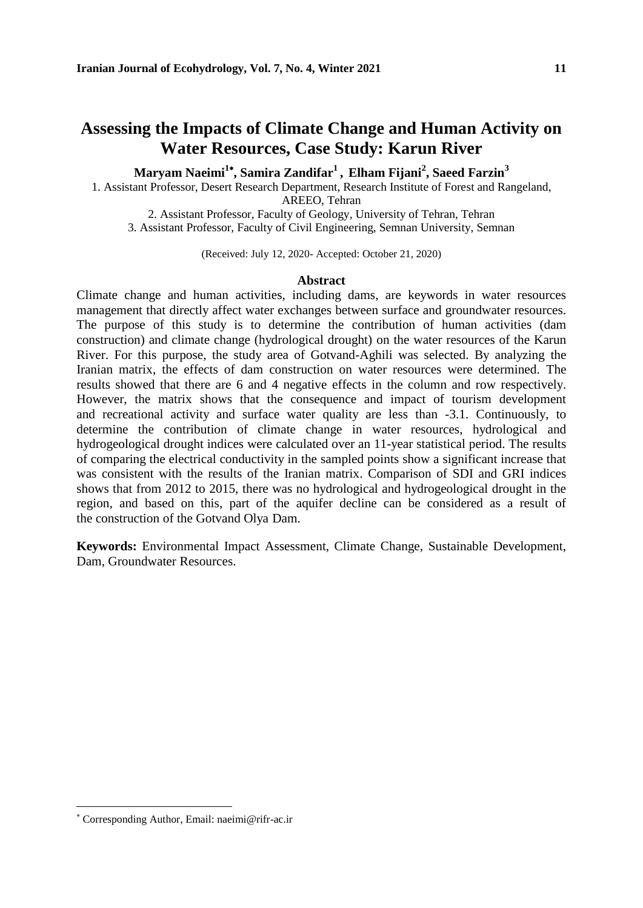### **Assessing the Impacts of Climate Change and Human Activity on Water Resources, Case Study: Karun River**

**Maryam Naeimi<sup>1</sup> , Samira Zandifar<sup>1</sup> , Elham Fijani<sup>2</sup> , Saeed Farzin<sup>3</sup>**

1. Assistant Professor, Desert Research Department, Research Institute of Forest and Rangeland,

AREEO, Tehran

2. Assistant Professor, Faculty of Geology, University of Tehran, Tehran 3. Assistant Professor, Faculty of Civil Engineering, Semnan University, Semnan

(Received: July 12, 2020- Accepted: October 21, 2020)

#### **Abstract**

Climate change and human activities, including dams, are keywords in water resources management that directly affect water exchanges between surface and groundwater resources. The purpose of this study is to determine the contribution of human activities (dam construction) and climate change (hydrological drought) on the water resources of the Karun River. For this purpose, the study area of Gotvand-Aghili was selected. By analyzing the Iranian matrix, the effects of dam construction on water resources were determined. The results showed that there are 6 and 4 negative effects in the column and row respectively. However, the matrix shows that the consequence and impact of tourism development and recreational activity and surface water quality are less than -3.1. Continuously, to determine the contribution of climate change in water resources, hydrological and hydrogeological drought indices were calculated over an 11-year statistical period. The results of comparing the electrical conductivity in the sampled points show a significant increase that was consistent with the results of the Iranian matrix. Comparison of SDI and GRI indices shows that from 2012 to 2015, there was no hydrological and hydrogeological drought in the region, and based on this, part of the aquifer decline can be considered as a result of the construction of the Gotvand Olya Dam.

**Keywords:** Environmental Impact Assessment, Climate Change, Sustainable Development, Dam, Groundwater Resources.

Corresponding Author, Email: naeimi@rifr-ac.ir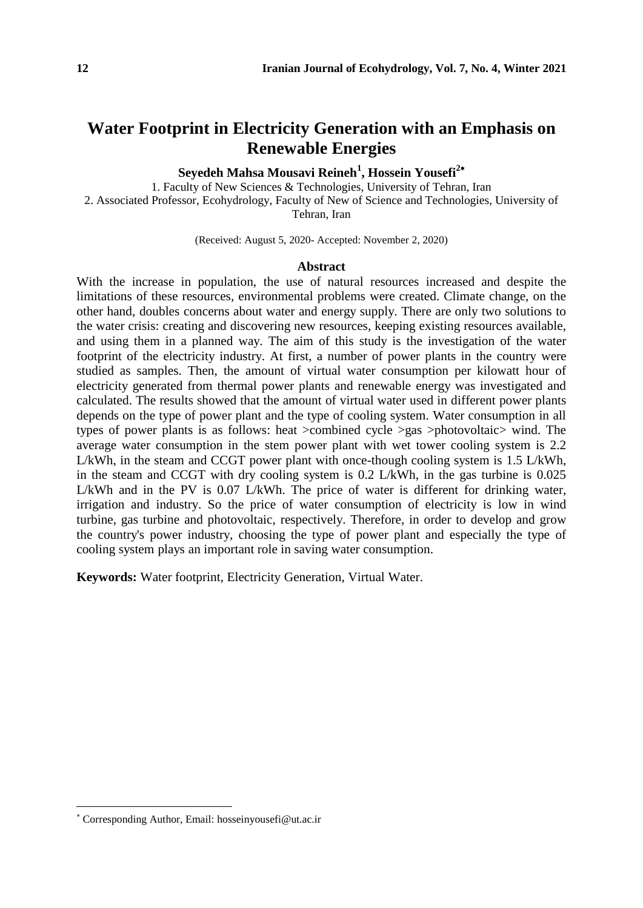# **Water Footprint in Electricity Generation with an Emphasis on Renewable Energies**

**Seyedeh Mahsa Mousavi Reineh<sup>1</sup> , Hossein Yousefi<sup>2</sup>**

1. Faculty of New Sciences & Technologies, University of Tehran, Iran 2. Associated Professor, Ecohydrology, Faculty of New of Science and Technologies, University of Tehran, Iran

(Received: August 5, 2020- Accepted: November 2, 2020)

#### **Abstract**

With the increase in population, the use of natural resources increased and despite the limitations of these resources, environmental problems were created. Climate change, on the other hand, doubles concerns about water and energy supply. There are only two solutions to the water crisis: creating and discovering new resources, keeping existing resources available, and using them in a planned way. The aim of this study is the investigation of the water footprint of the electricity industry. At first, a number of power plants in the country were studied as samples. Then, the amount of virtual water consumption per kilowatt hour of electricity generated from thermal power plants and renewable energy was investigated and calculated. The results showed that the amount of virtual water used in different power plants depends on the type of power plant and the type of cooling system. Water consumption in all types of power plants is as follows: heat >combined cycle >gas >photovoltaic> wind. The average water consumption in the stem power plant with wet tower cooling system is 2.2 L/kWh, in the steam and CCGT power plant with once-though cooling system is 1.5 L/kWh, in the steam and CCGT with dry cooling system is 0.2 L/kWh, in the gas turbine is 0.025 L/kWh and in the PV is 0.07 L/kWh. The price of water is different for drinking water, irrigation and industry. So the price of water consumption of electricity is low in wind turbine, gas turbine and photovoltaic, respectively. Therefore, in order to develop and grow the country's power industry, choosing the type of power plant and especially the type of cooling system plays an important role in saving water consumption.

**Keywords:** Water footprint, Electricity Generation, Virtual Water.

Corresponding Author, Email: hosseinyousefi@ut.ac.ir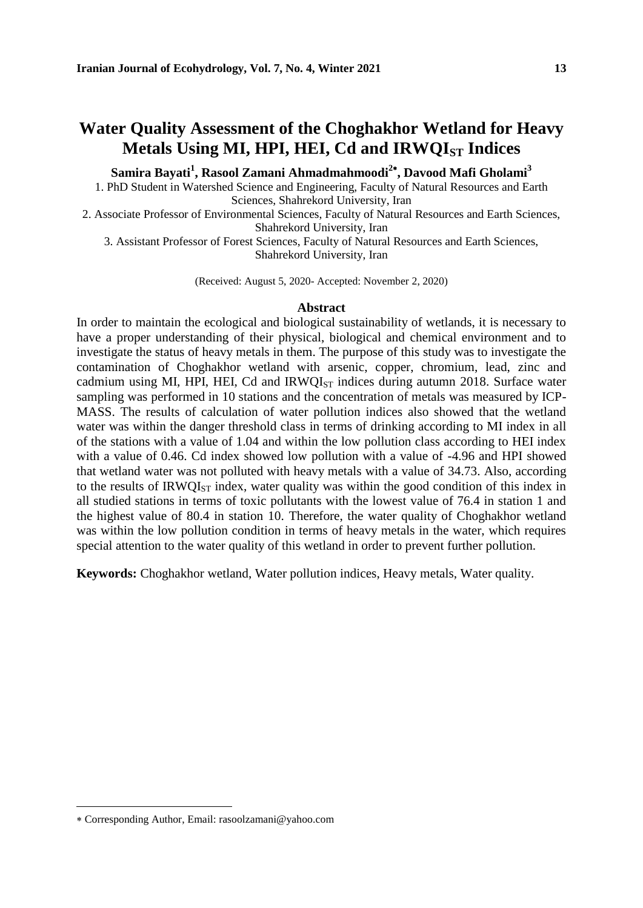# **Water Quality Assessment of the Choghakhor Wetland for Heavy Metals Using MI, HPI, HEI, Cd and IRWQIST Indices**

**Samira Bayati<sup>1</sup> , Rasool Zamani Ahmadmahmoodi<sup>2</sup> , Davood Mafi Gholami<sup>3</sup>**

1. PhD Student in Watershed Science and Engineering, Faculty of Natural Resources and Earth Sciences, Shahrekord University, Iran

2. Associate Professor of Environmental Sciences, Faculty of Natural Resources and Earth Sciences, Shahrekord University, Iran

3. Assistant Professor of Forest Sciences, Faculty of Natural Resources and Earth Sciences, Shahrekord University, Iran

(Received: August 5, 2020- Accepted: November 2, 2020)

#### **Abstract**

In order to maintain the ecological and biological sustainability of wetlands, it is necessary to have a proper understanding of their physical, biological and chemical environment and to investigate the status of heavy metals in them. The purpose of this study was to investigate the contamination of Choghakhor wetland with arsenic, copper, chromium, lead, zinc and cadmium using MI, HPI, HEI, Cd and  $IRWQI<sub>ST</sub>$  indices during autumn 2018. Surface water sampling was performed in 10 stations and the concentration of metals was measured by ICP-MASS. The results of calculation of water pollution indices also showed that the wetland water was within the danger threshold class in terms of drinking according to MI index in all of the stations with a value of 1.04 and within the low pollution class according to HEI index with a value of 0.46. Cd index showed low pollution with a value of -4.96 and HPI showed that wetland water was not polluted with heavy metals with a value of 34.73. Also, according to the results of  $IRWQI_{ST}$  index, water quality was within the good condition of this index in all studied stations in terms of toxic pollutants with the lowest value of 76.4 in station 1 and the highest value of 80.4 in station 10. Therefore, the water quality of Choghakhor wetland was within the low pollution condition in terms of heavy metals in the water, which requires special attention to the water quality of this wetland in order to prevent further pollution.

**Keywords:** Choghakhor wetland, Water pollution indices, Heavy metals, Water quality.

Corresponding Author, Email: rasoolzamani@yahoo.com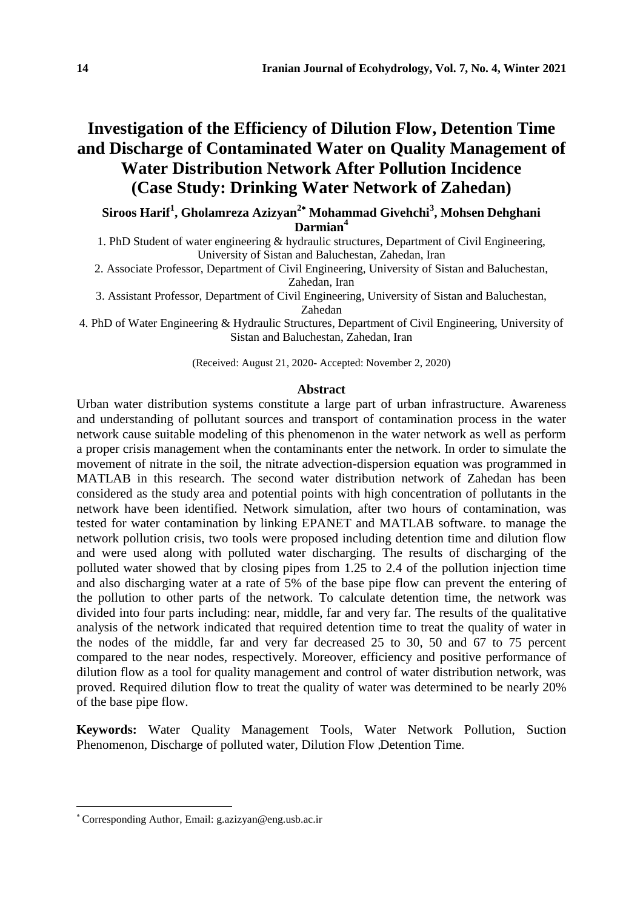# **Investigation of the Efficiency of Dilution Flow, Detention Time and Discharge of Contaminated Water on Quality Management of Water Distribution Network After Pollution Incidence (Case Study: Drinking Water Network of Zahedan)**

**Siroos Harif<sup>1</sup> , Gholamreza Azizyan<sup>2</sup> Mohammad Givehchi<sup>3</sup> , Mohsen Dehghani Darmian<sup>4</sup>**

1. PhD Student of water engineering & hydraulic structures, Department of Civil Engineering, University of Sistan and Baluchestan, Zahedan, Iran

2. Associate Professor, Department of Civil Engineering, University of Sistan and Baluchestan, Zahedan, Iran

3. Assistant Professor, Department of Civil Engineering, University of Sistan and Baluchestan, Zahedan

4. PhD of Water Engineering & Hydraulic Structures, Department of Civil Engineering, University of Sistan and Baluchestan, Zahedan, Iran

(Received: August 21, 2020- Accepted: November 2, 2020)

#### **Abstract**

Urban water distribution systems constitute a large part of urban infrastructure. Awareness and understanding of pollutant sources and transport of contamination process in the water network cause suitable modeling of this phenomenon in the water network as well as perform a proper crisis management when the contaminants enter the network. In order to simulate the movement of nitrate in the soil, the nitrate advection-dispersion equation was programmed in MATLAB in this research. The second water distribution network of Zahedan has been considered as the study area and potential points with high concentration of pollutants in the network have been identified. Network simulation, after two hours of contamination, was tested for water contamination by linking EPANET and MATLAB software. to manage the network pollution crisis, two tools were proposed including detention time and dilution flow and were used along with polluted water discharging. The results of discharging of the polluted water showed that by closing pipes from 1.25 to 2.4 of the pollution injection time and also discharging water at a rate of 5% of the base pipe flow can prevent the entering of the pollution to other parts of the network. To calculate detention time, the network was divided into four parts including: near, middle, far and very far. The results of the qualitative analysis of the network indicated that required detention time to treat the quality of water in the nodes of the middle, far and very far decreased 25 to 30, 50 and 67 to 75 percent compared to the near nodes, respectively. Moreover, efficiency and positive performance of dilution flow as a tool for quality management and control of water distribution network, was proved. Required dilution flow to treat the quality of water was determined to be nearly 20% of the base pipe flow.

**Keywords:** Water Quality Management Tools, Water Network Pollution, Suction Phenomenon, Discharge of polluted water, Dilution Flow ,Detention Time.

Corresponding Author, Email: g.azizyan@eng.usb.ac.ir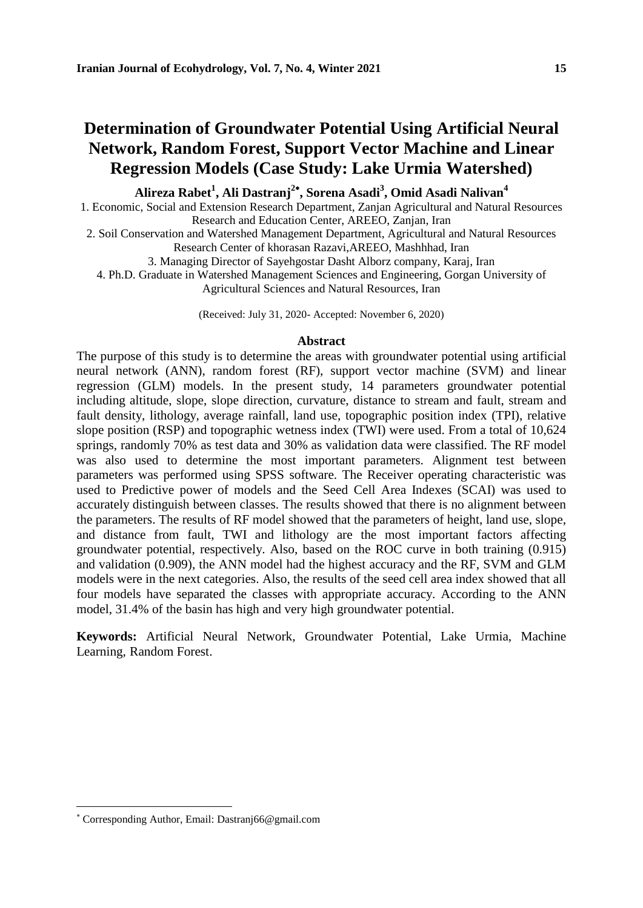### **Determination of Groundwater Potential Using Artificial Neural Network, Random Forest, Support Vector Machine and Linear Regression Models (Case Study: Lake Urmia Watershed)**

### **Alireza Rabet<sup>1</sup> , Ali Dastranj<sup>2</sup> , Sorena Asadi<sup>3</sup> , Omid Asadi Nalivan<sup>4</sup>**

1. Economic, Social and Extension Research Department, Zanjan Agricultural and Natural Resources Research and Education Center, AREEO, Zanjan, Iran

2. Soil Conservation and Watershed Management Department, Agricultural and Natural Resources Research Center of khorasan Razavi,AREEO, Mashhhad, Iran

3. Managing Director of Sayehgostar Dasht Alborz company, Karaj, Iran

4. Ph.D. Graduate in Watershed Management Sciences and Engineering, Gorgan University of

Agricultural Sciences and Natural Resources, Iran

(Received: July 31, 2020- Accepted: November 6, 2020)

#### **Abstract**

The purpose of this study is to determine the areas with groundwater potential using artificial neural network (ANN), random forest (RF), support vector machine (SVM) and linear regression (GLM) models. In the present study, 14 parameters groundwater potential including altitude, slope, slope direction, curvature, distance to stream and fault, stream and fault density, lithology, average rainfall, land use, topographic position index (TPI), relative slope position (RSP) and topographic wetness index (TWI) were used. From a total of 10,624 springs, randomly 70% as test data and 30% as validation data were classified. The RF model was also used to determine the most important parameters. Alignment test between parameters was performed using SPSS software. The Receiver operating characteristic was used to Predictive power of models and the Seed Cell Area Indexes (SCAI) was used to accurately distinguish between classes. The results showed that there is no alignment between the parameters. The results of RF model showed that the parameters of height, land use, slope, and distance from fault, TWI and lithology are the most important factors affecting groundwater potential, respectively. Also, based on the ROC curve in both training (0.915) and validation (0.909), the ANN model had the highest accuracy and the RF, SVM and GLM models were in the next categories. Also, the results of the seed cell area index showed that all four models have separated the classes with appropriate accuracy. According to the ANN model, 31.4% of the basin has high and very high groundwater potential.

**Keywords:** Artificial Neural Network, Groundwater Potential, Lake Urmia, Machine Learning, Random Forest.

Corresponding Author, Email: Dastranj66@gmail.com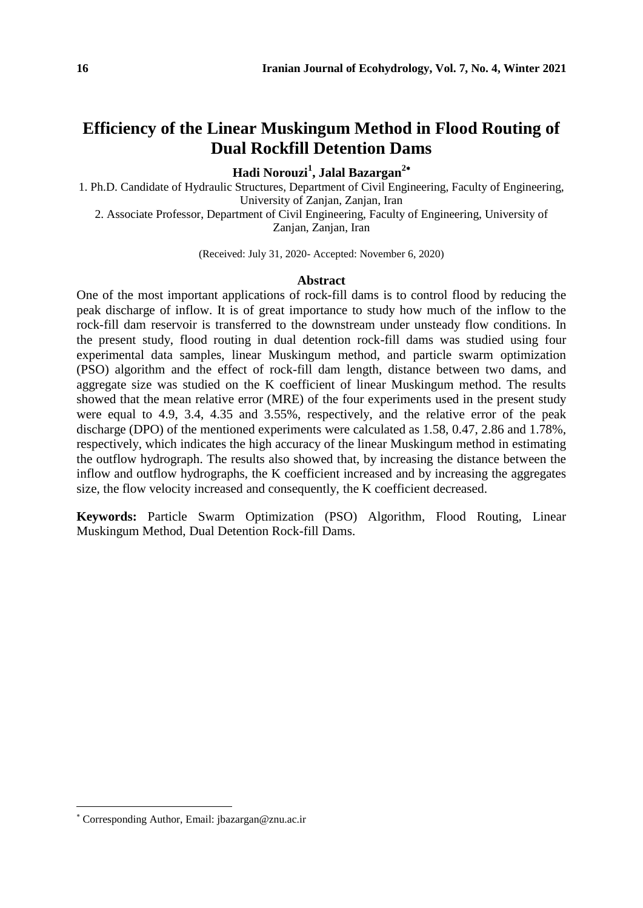# **Efficiency of the Linear Muskingum Method in Flood Routing of Dual Rockfill Detention Dams**

**Hadi Norouzi<sup>1</sup> , Jalal Bazargan<sup>2</sup>**

1. Ph.D. Candidate of Hydraulic Structures, Department of Civil Engineering, Faculty of Engineering, University of Zanjan, Zanjan, Iran 2. Associate Professor, Department of Civil Engineering, Faculty of Engineering, University of

Zanjan, Zanjan, Iran

(Received: July 31, 2020- Accepted: November 6, 2020)

#### **Abstract**

One of the most important applications of rock-fill dams is to control flood by reducing the peak discharge of inflow. It is of great importance to study how much of the inflow to the rock-fill dam reservoir is transferred to the downstream under unsteady flow conditions. In the present study, flood routing in dual detention rock-fill dams was studied using four experimental data samples, linear Muskingum method, and particle swarm optimization (PSO) algorithm and the effect of rock-fill dam length, distance between two dams, and aggregate size was studied on the K coefficient of linear Muskingum method. The results showed that the mean relative error (MRE) of the four experiments used in the present study were equal to 4.9, 3.4, 4.35 and 3.55%, respectively, and the relative error of the peak discharge (DPO) of the mentioned experiments were calculated as 1.58, 0.47, 2.86 and 1.78%, respectively, which indicates the high accuracy of the linear Muskingum method in estimating the outflow hydrograph. The results also showed that, by increasing the distance between the inflow and outflow hydrographs, the K coefficient increased and by increasing the aggregates size, the flow velocity increased and consequently, the K coefficient decreased.

**Keywords:** Particle Swarm Optimization (PSO) Algorithm, Flood Routing, Linear Muskingum Method, Dual Detention Rock-fill Dams.

Corresponding Author, Email: jbazargan@znu.ac.ir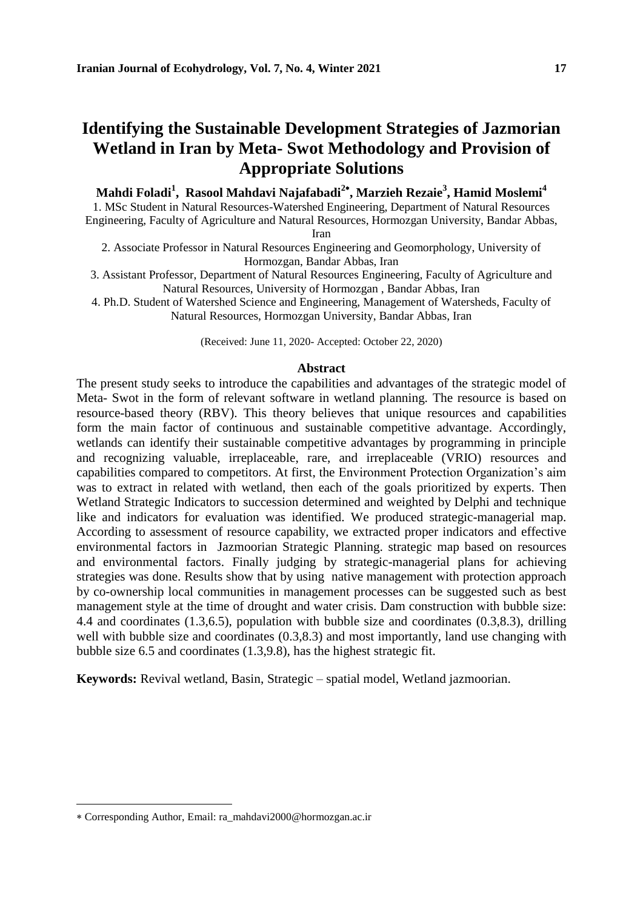# **Identifying the Sustainable Development Strategies of Jazmorian Wetland in Iran by Meta- Swot Methodology and Provision of Appropriate Solutions**

### **Mahdi Foladi<sup>1</sup> , Rasool Mahdavi Najafabadi<sup>2</sup> , Marzieh Rezaie 3 , Hamid Moslemi<sup>4</sup>**

1. MSc Student in Natural Resources-Watershed Engineering, Department of Natural Resources Engineering, Faculty of Agriculture and Natural Resources, Hormozgan University, Bandar Abbas,

Iran

2. Associate Professor in Natural Resources Engineering and Geomorphology, University of Hormozgan, Bandar Abbas, Iran

3. Assistant Professor, Department of Natural Resources Engineering, Faculty of Agriculture and Natural Resources, University of Hormozgan , Bandar Abbas, Iran

4. Ph.D. Student of Watershed Science and Engineering, Management of Watersheds, Faculty of Natural Resources, Hormozgan University, Bandar Abbas, Iran

(Received: June 11, 2020- Accepted: October 22, 2020)

#### **Abstract**

The present study seeks to introduce the capabilities and advantages of the strategic model of Meta- Swot in the form of relevant software in wetland planning. The resource is based on resource-based theory (RBV). This theory believes that unique resources and capabilities form the main factor of continuous and sustainable competitive advantage. Accordingly, wetlands can identify their sustainable competitive advantages by programming in principle and recognizing valuable, irreplaceable, rare, and irreplaceable (VRIO) resources and capabilities compared to competitors. At first, the Environment Protection Organization's aim was to extract in related with wetland, then each of the goals prioritized by experts. Then Wetland Strategic Indicators to succession determined and weighted by Delphi and technique like and indicators for evaluation was identified. We produced strategic-managerial map. According to assessment of resource capability, we extracted proper indicators and effective environmental factors in Jazmoorian Strategic Planning. strategic map based on resources and environmental factors. Finally judging by strategic-managerial plans for achieving strategies was done. Results show that by using native management with protection approach by co-ownership local communities in management processes can be suggested such as best management style at the time of drought and water crisis. Dam construction with bubble size: 4.4 and coordinates (1.3,6.5), population with bubble size and coordinates (0.3,8.3), drilling well with bubble size and coordinates  $(0.3, 8.3)$  and most importantly, land use changing with bubble size 6.5 and coordinates (1.3,9.8), has the highest strategic fit.

**Keywords:** Revival wetland, Basin, Strategic – spatial model, Wetland jazmoorian.

l

Corresponding Author, Email: ra\_mahdavi2000@hormozgan.ac.ir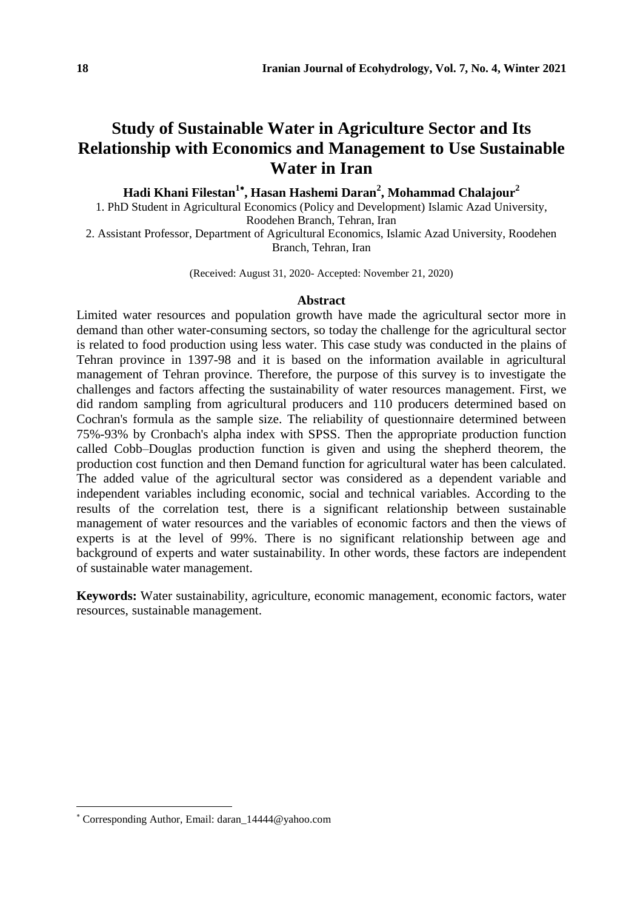# **Study of Sustainable Water in Agriculture Sector and Its Relationship with Economics and Management to Use Sustainable Water in Iran**

### **Hadi Khani Filestan<sup>1</sup> , Hasan Hashemi Daran<sup>2</sup> , Mohammad Chalajour<sup>2</sup>**

1. PhD Student in Agricultural Economics (Policy and Development) Islamic Azad University, Roodehen Branch, Tehran, Iran

2. Assistant Professor, Department of Agricultural Economics, Islamic Azad University, Roodehen Branch, Tehran, Iran

(Received: August 31, 2020- Accepted: November 21, 2020)

### **Abstract**

Limited water resources and population growth have made the agricultural sector more in demand than other water-consuming sectors, so today the challenge for the agricultural sector is related to food production using less water. This case study was conducted in the plains of Tehran province in 1397-98 and it is based on the information available in agricultural management of Tehran province. Therefore, the purpose of this survey is to investigate the challenges and factors affecting the sustainability of water resources management. First, we did random sampling from agricultural producers and 110 producers determined based on Cochran's formula as the sample size. The reliability of questionnaire determined between 75%-93% by Cronbach's alpha index with SPSS. Then the appropriate production function called Cobb–Douglas production function is given and using the shepherd theorem, the production cost function and then Demand function for agricultural water has been calculated. The added value of the agricultural sector was considered as a dependent variable and independent variables including economic, social and technical variables. According to the results of the correlation test, there is a significant relationship between sustainable management of water resources and the variables of economic factors and then the views of experts is at the level of 99%. There is no significant relationship between age and background of experts and water sustainability. In other words, these factors are independent of sustainable water management.

**Keywords:** Water sustainability, agriculture, economic management, economic factors, water resources, sustainable management.

Corresponding Author, Email: daran\_14444@yahoo.com

 $\overline{a}$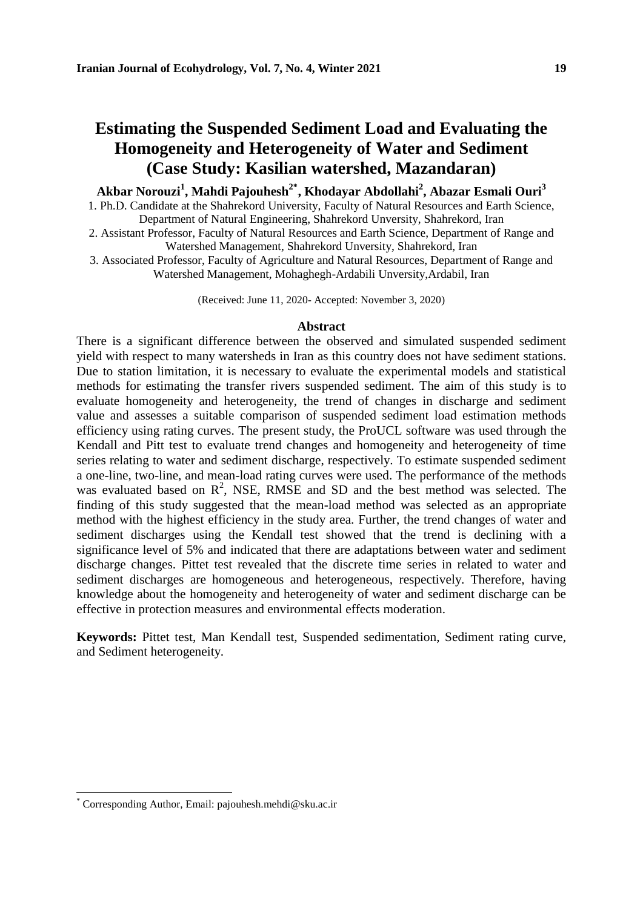### **Estimating the Suspended Sediment Load and Evaluating the Homogeneity and Heterogeneity of Water and Sediment (Case Study: Kasilian watershed, Mazandaran)**

### **Akbar Norouzi<sup>1</sup> , Mahdi Pajouhesh2\* 2, Khodayar Abdollahi<sup>2</sup> , Abazar Esmali Ouri<sup>3</sup>**

- 1. Ph.D. Candidate at the Shahrekord University, Faculty of Natural Resources and Earth Science, Department of Natural Engineering, Shahrekord Unversity, Shahrekord, Iran
- 2. Assistant Professor, Faculty of Natural Resources and Earth Science, Department of Range and Watershed Management, Shahrekord Unversity, Shahrekord, Iran
- 3. Associated Professor, Faculty of Agriculture and Natural Resources, Department of Range and Watershed Management, Mohaghegh-Ardabili Unversity,Ardabil, Iran

(Received: June 11, 2020- Accepted: November 3, 2020)

#### **Abstract**

There is a significant difference between the observed and simulated suspended sediment yield with respect to many watersheds in Iran as this country does not have sediment stations. Due to station limitation, it is necessary to evaluate the experimental models and statistical methods for estimating the transfer rivers suspended sediment. The aim of this study is to evaluate homogeneity and heterogeneity, the trend of changes in discharge and sediment value and assesses a suitable comparison of suspended sediment load estimation methods efficiency using rating curves. The present study, the ProUCL software was used through the Kendall and Pitt test to evaluate trend changes and homogeneity and heterogeneity of time series relating to water and sediment discharge, respectively. To estimate suspended sediment a one-line, two-line, and mean-load rating curves were used. The performance of the methods was evaluated based on  $\mathbb{R}^2$ , NSE, RMSE and SD and the best method was selected. The finding of this study suggested that the mean-load method was selected as an appropriate method with the highest efficiency in the study area. Further, the trend changes of water and sediment discharges using the Kendall test showed that the trend is declining with a significance level of 5% and indicated that there are adaptations between water and sediment discharge changes. Pittet test revealed that the discrete time series in related to water and sediment discharges are homogeneous and heterogeneous, respectively. Therefore, having knowledge about the homogeneity and heterogeneity of water and sediment discharge can be effective in protection measures and environmental effects moderation.

**Keywords:** Pittet test, Man Kendall test, Suspended sedimentation, Sediment rating curve, and Sediment heterogeneity.

l

<sup>\*</sup> Corresponding Author, Email: pajouhesh.mehdi@sku.ac.ir